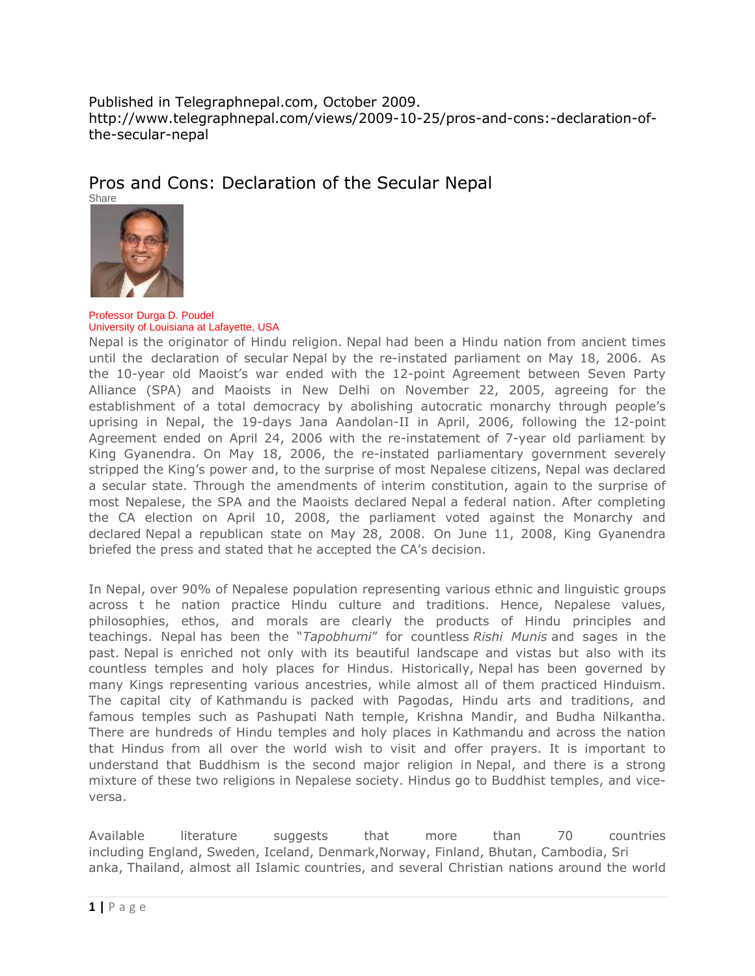Published in Telegraphnepal.com, October 2009. http://www.telegraphnepal.com/views/2009-10-25/pros-and-cons:-declaration-ofthe-secular-nepal

Pros and Cons: Declaration of the Secular Nepal



Professor Durga D. Poudel University of Louisiana at Lafayette, USA

Nepal is the originator of Hindu religion. Nepal had been a Hindu nation from ancient times until the declaration of secular Nepal by the re-instated parliament on May 18, 2006. As the 10-year old Maoist's war ended with the 12-point Agreement between Seven Party Alliance (SPA) and Maoists in New Delhi on November 22, 2005, agreeing for the establishment of a total democracy by abolishing autocratic monarchy through people's uprising in Nepal, the 19-days Jana Aandolan-II in April, 2006, following the 12-point Agreement ended on April 24, 2006 with the re-instatement of 7-year old parliament by King Gyanendra. On May 18, 2006, the re-instated parliamentary government severely stripped the King's power and, to the surprise of most Nepalese citizens, Nepal was declared a secular state. Through the amendments of interim constitution, again to the surprise of most Nepalese, the SPA and the Maoists declared Nepal a federal nation. After completing the CA election on April 10, 2008, the parliament voted against the Monarchy and declared Nepal a republican state on May 28, 2008. On June 11, 2008, King Gyanendra briefed the press and stated that he accepted the CA's decision.

In Nepal, over 90% of Nepalese population representing various ethnic and linguistic groups across t he nation practice Hindu culture and traditions. Hence, Nepalese values, philosophies, ethos, and morals are clearly the products of Hindu principles and teachings. Nepal has been the "*Tapobhumi*" for countless *Rishi Munis* and sages in the past. Nepal is enriched not only with its beautiful landscape and vistas but also with its countless temples and holy places for Hindus. Historically, Nepal has been governed by many Kings representing various ancestries, while almost all of them practiced Hinduism. The capital city of Kathmandu is packed with Pagodas, Hindu arts and traditions, and famous temples such as Pashupati Nath temple, Krishna Mandir, and Budha Nilkantha. There are hundreds of Hindu temples and holy places in Kathmandu and across the nation that Hindus from all over the world wish to visit and offer prayers. It is important to understand that Buddhism is the second major religion in Nepal, and there is a strong mixture of these two religions in Nepalese society. Hindus go to Buddhist temples, and viceversa.

Available literature suggests that more than 70 countries including England, Sweden, Iceland, Denmark,Norway, Finland, Bhutan, Cambodia, Sri anka, Thailand, almost all Islamic countries, and several Christian nations around the world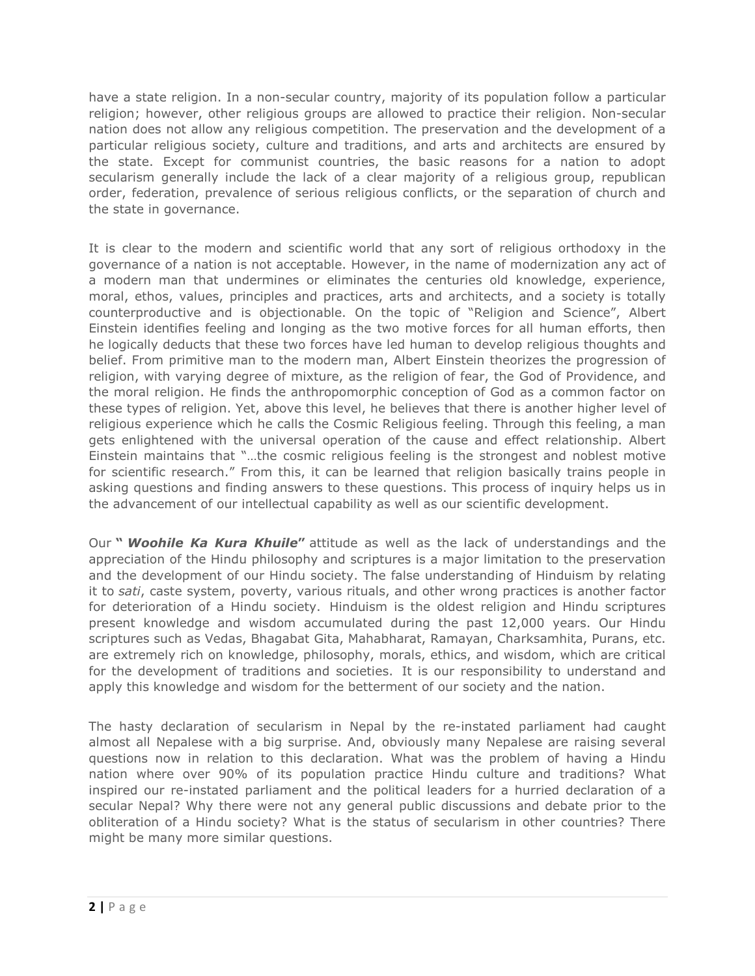have a state religion. In a non-secular country, majority of its population follow a particular religion; however, other religious groups are allowed to practice their religion. Non-secular nation does not allow any religious competition. The preservation and the development of a particular religious society, culture and traditions, and arts and architects are ensured by the state. Except for communist countries, the basic reasons for a nation to adopt secularism generally include the lack of a clear majority of a religious group, republican order, federation, prevalence of serious religious conflicts, or the separation of church and the state in governance.

It is clear to the modern and scientific world that any sort of religious orthodoxy in the governance of a nation is not acceptable. However, in the name of modernization any act of a modern man that undermines or eliminates the centuries old knowledge, experience, moral, ethos, values, principles and practices, arts and architects, and a society is totally counterproductive and is objectionable. On the topic of "Religion and Science", Albert Einstein identifies feeling and longing as the two motive forces for all human efforts, then he logically deducts that these two forces have led human to develop religious thoughts and belief. From primitive man to the modern man, Albert Einstein theorizes the progression of religion, with varying degree of mixture, as the religion of fear, the God of Providence, and the moral religion. He finds the anthropomorphic conception of God as a common factor on these types of religion. Yet, above this level, he believes that there is another higher level of religious experience which he calls the Cosmic Religious feeling. Through this feeling, a man gets enlightened with the universal operation of the cause and effect relationship. Albert Einstein maintains that "…the cosmic religious feeling is the strongest and noblest motive for scientific research." From this, it can be learned that religion basically trains people in asking questions and finding answers to these questions. This process of inquiry helps us in the advancement of our intellectual capability as well as our scientific development.

Our **"** *Woohile Ka Kura Khuile***"** attitude as well as the lack of understandings and the appreciation of the Hindu philosophy and scriptures is a major limitation to the preservation and the development of our Hindu society. The false understanding of Hinduism by relating it to *sati*, caste system, poverty, various rituals, and other wrong practices is another factor for deterioration of a Hindu society. Hinduism is the oldest religion and Hindu scriptures present knowledge and wisdom accumulated during the past 12,000 years. Our Hindu scriptures such as Vedas, Bhagabat Gita, Mahabharat, Ramayan, Charksamhita, Purans, etc. are extremely rich on knowledge, philosophy, morals, ethics, and wisdom, which are critical for the development of traditions and societies. It is our responsibility to understand and apply this knowledge and wisdom for the betterment of our society and the nation.

The hasty declaration of secularism in Nepal by the re-instated parliament had caught almost all Nepalese with a big surprise. And, obviously many Nepalese are raising several questions now in relation to this declaration. What was the problem of having a Hindu nation where over 90% of its population practice Hindu culture and traditions? What inspired our re-instated parliament and the political leaders for a hurried declaration of a secular Nepal? Why there were not any general public discussions and debate prior to the obliteration of a Hindu society? What is the status of secularism in other countries? There might be many more similar questions.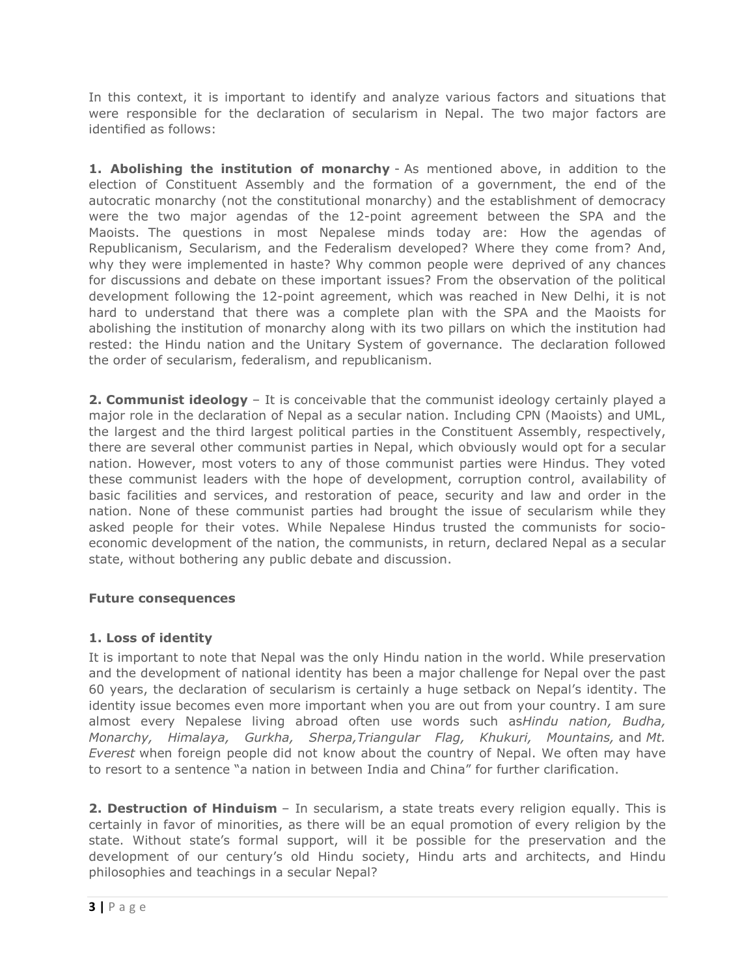In this context, it is important to identify and analyze various factors and situations that were responsible for the declaration of secularism in Nepal. The two major factors are identified as follows:

**1. Abolishing the institution of monarchy** - As mentioned above, in addition to the election of Constituent Assembly and the formation of a government, the end of the autocratic monarchy (not the constitutional monarchy) and the establishment of democracy were the two major agendas of the 12-point agreement between the SPA and the Maoists. The questions in most Nepalese minds today are: How the agendas of Republicanism, Secularism, and the Federalism developed? Where they come from? And, why they were implemented in haste? Why common people were deprived of any chances for discussions and debate on these important issues? From the observation of the political development following the 12-point agreement, which was reached in New Delhi, it is not hard to understand that there was a complete plan with the SPA and the Maoists for abolishing the institution of monarchy along with its two pillars on which the institution had rested: the Hindu nation and the Unitary System of governance. The declaration followed the order of secularism, federalism, and republicanism.

**2. Communist ideology** – It is conceivable that the communist ideology certainly played a major role in the declaration of Nepal as a secular nation. Including CPN (Maoists) and UML, the largest and the third largest political parties in the Constituent Assembly, respectively, there are several other communist parties in Nepal, which obviously would opt for a secular nation. However, most voters to any of those communist parties were Hindus. They voted these communist leaders with the hope of development, corruption control, availability of basic facilities and services, and restoration of peace, security and law and order in the nation. None of these communist parties had brought the issue of secularism while they asked people for their votes. While Nepalese Hindus trusted the communists for socioeconomic development of the nation, the communists, in return, declared Nepal as a secular state, without bothering any public debate and discussion.

## **Future consequences**

## **1. Loss of identity**

It is important to note that Nepal was the only Hindu nation in the world. While preservation and the development of national identity has been a major challenge for Nepal over the past 60 years, the declaration of secularism is certainly a huge setback on Nepal's identity. The identity issue becomes even more important when you are out from your country. I am sure almost every Nepalese living abroad often use words such as*Hindu nation, Budha, Monarchy, Himalaya, Gurkha, Sherpa,Triangular Flag, Khukuri, Mountains,* and *Mt. Everest* when foreign people did not know about the country of Nepal. We often may have to resort to a sentence "a nation in between India and China" for further clarification.

**2. Destruction of Hinduism** – In secularism, a state treats every religion equally. This is certainly in favor of minorities, as there will be an equal promotion of every religion by the state. Without state's formal support, will it be possible for the preservation and the development of our century's old Hindu society, Hindu arts and architects, and Hindu philosophies and teachings in a secular Nepal?